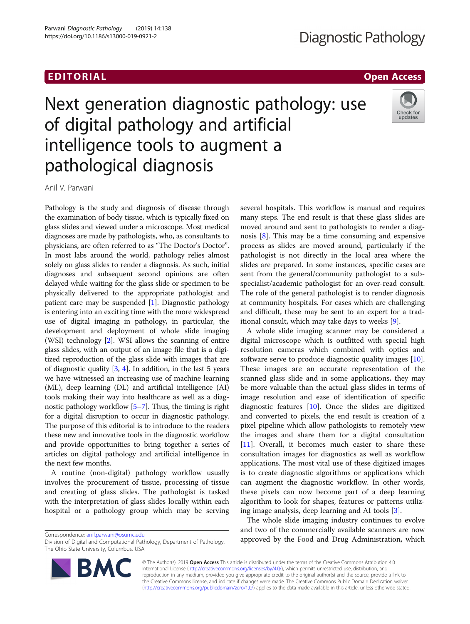## EDI TORIA L Open Access

# Next generation diagnostic pathology: use of digital pathology and artificial intelligence tools to augment a pathological diagnosis



Anil V. Parwani

Pathology is the study and diagnosis of disease through the examination of body tissue, which is typically fixed on glass slides and viewed under a microscope. Most medical diagnoses are made by pathologists, who, as consultants to physicians, are often referred to as "The Doctor's Doctor". In most labs around the world, pathology relies almost solely on glass slides to render a diagnosis. As such, initial diagnoses and subsequent second opinions are often delayed while waiting for the glass slide or specimen to be physically delivered to the appropriate pathologist and patient care may be suspended [\[1](#page-2-0)]. Diagnostic pathology is entering into an exciting time with the more widespread use of digital imaging in pathology, in particular, the development and deployment of whole slide imaging (WSI) technology [\[2](#page-2-0)]. WSI allows the scanning of entire glass slides, with an output of an image file that is a digitized reproduction of the glass slide with images that are of diagnostic quality [[3,](#page-2-0) [4\]](#page-2-0). In addition, in the last 5 years we have witnessed an increasing use of machine learning (ML), deep learning (DL) and artificial intelligence (AI) tools making their way into healthcare as well as a diagnostic pathology workflow  $[5–7]$  $[5–7]$  $[5–7]$  $[5–7]$  $[5–7]$ . Thus, the timing is right for a digital disruption to occur in diagnostic pathology. The purpose of this editorial is to introduce to the readers these new and innovative tools in the diagnostic workflow and provide opportunities to bring together a series of articles on digital pathology and artificial intelligence in the next few months.

A routine (non-digital) pathology workflow usually involves the procurement of tissue, processing of tissue and creating of glass slides. The pathologist is tasked with the interpretation of glass slides locally within each hospital or a pathology group which may be serving

Correspondence: [anil.parwani@osumc.edu](mailto:anil.parwani@osumc.edu)



A whole slide imaging scanner may be considered a digital microscope which is outfitted with special high resolution cameras which combined with optics and software serve to produce diagnostic quality images [\[10](#page-2-0)]. These images are an accurate representation of the scanned glass slide and in some applications, they may be more valuable than the actual glass slides in terms of image resolution and ease of identification of specific diagnostic features [\[10\]](#page-2-0). Once the slides are digitized and converted to pixels, the end result is creation of a pixel pipeline which allow pathologists to remotely view the images and share them for a digital consultation [[11\]](#page-2-0). Overall, it becomes much easier to share these consultation images for diagnostics as well as workflow applications. The most vital use of these digitized images is to create diagnostic algorithms or applications which can augment the diagnostic workflow. In other words, these pixels can now become part of a deep learning algorithm to look for shapes, features or patterns utilizing image analysis, deep learning and AI tools [\[3](#page-2-0)].

The whole slide imaging industry continues to evolve and two of the commercially available scanners are now approved by the Food and Drug Administration, which



© The Author(s). 2019 Open Access This article is distributed under the terms of the Creative Commons Attribution 4.0 International License [\(http://creativecommons.org/licenses/by/4.0/](http://creativecommons.org/licenses/by/4.0/)), which permits unrestricted use, distribution, and reproduction in any medium, provided you give appropriate credit to the original author(s) and the source, provide a link to the Creative Commons license, and indicate if changes were made. The Creative Commons Public Domain Dedication waiver [\(http://creativecommons.org/publicdomain/zero/1.0/](http://creativecommons.org/publicdomain/zero/1.0/)) applies to the data made available in this article, unless otherwise stated.

Division of Digital and Computational Pathology, Department of Pathology, The Ohio State University, Columbus, USA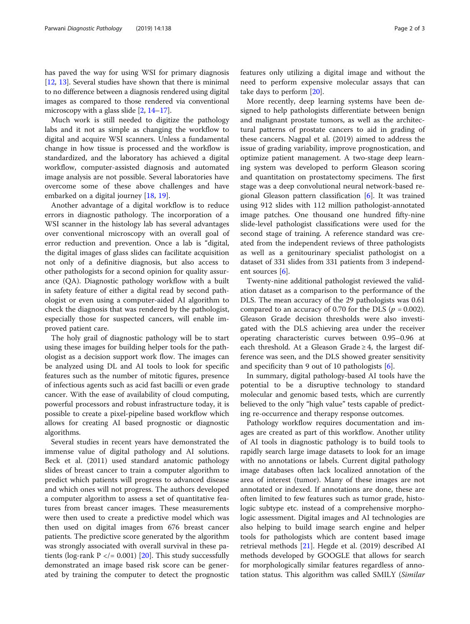has paved the way for using WSI for primary diagnosis [[12](#page-2-0), [13](#page-2-0)]. Several studies have shown that there is minimal to no difference between a diagnosis rendered using digital images as compared to those rendered via conventional microscopy with a glass slide [[2](#page-2-0), [14](#page-2-0)–[17](#page-2-0)].

Much work is still needed to digitize the pathology labs and it not as simple as changing the workflow to digital and acquire WSI scanners. Unless a fundamental change in how tissue is processed and the workflow is standardized, and the laboratory has achieved a digital workflow, computer-assisted diagnosis and automated image analysis are not possible. Several laboratories have overcome some of these above challenges and have embarked on a digital journey [[18,](#page-2-0) [19](#page-2-0)].

Another advantage of a digital workflow is to reduce errors in diagnostic pathology. The incorporation of a WSI scanner in the histology lab has several advantages over conventional microscopy with an overall goal of error reduction and prevention. Once a lab is "digital, the digital images of glass slides can facilitate acquisition not only of a definitive diagnosis, but also access to other pathologists for a second opinion for quality assurance (QA). Diagnostic pathology workflow with a built in safety feature of either a digital read by second pathologist or even using a computer-aided AI algorithm to check the diagnosis that was rendered by the pathologist, especially those for suspected cancers, will enable improved patient care.

The holy grail of diagnostic pathology will be to start using these images for building helper tools for the pathologist as a decision support work flow. The images can be analyzed using DL and AI tools to look for specific features such as the number of mitotic figures, presence of infectious agents such as acid fast bacilli or even grade cancer. With the ease of availability of cloud computing, powerful processors and robust infrastructure today, it is possible to create a pixel-pipeline based workflow which allows for creating AI based prognostic or diagnostic algorithms.

Several studies in recent years have demonstrated the immense value of digital pathology and AI solutions. Beck et al. (2011) used standard anatomic pathology slides of breast cancer to train a computer algorithm to predict which patients will progress to advanced disease and which ones will not progress. The authors developed a computer algorithm to assess a set of quantitative features from breast cancer images. These measurements were then used to create a predictive model which was then used on digital images from 676 breast cancer patients. The predictive score generated by the algorithm was strongly associated with overall survival in these patients (log-rank  $P \leq 0.001$ ) [\[20](#page-2-0)]. This study successfully demonstrated an image based risk score can be generated by training the computer to detect the prognostic features only utilizing a digital image and without the need to perform expensive molecular assays that can take days to perform [[20\]](#page-2-0).

More recently, deep learning systems have been designed to help pathologists differentiate between benign and malignant prostate tumors, as well as the architectural patterns of prostate cancers to aid in grading of these cancers. Nagpal et al. (2019) aimed to address the issue of grading variability, improve prognostication, and optimize patient management. A two-stage deep learning system was developed to perform Gleason scoring and quantitation on prostatectomy specimens. The first stage was a deep convolutional neural network-based regional Gleason pattern classification [[6\]](#page-2-0). It was trained using 912 slides with 112 million pathologist-annotated image patches. One thousand one hundred fifty-nine slide-level pathologist classifications were used for the second stage of training. A reference standard was created from the independent reviews of three pathologists as well as a genitourinary specialist pathologist on a dataset of 331 slides from 331 patients from 3 independent sources [\[6](#page-2-0)].

Twenty-nine additional pathologist reviewed the validation dataset as a comparison to the performance of the DLS. The mean accuracy of the 29 pathologists was 0.61 compared to an accuracy of 0.70 for the DLS ( $p = 0.002$ ). Gleason Grade decision thresholds were also investigated with the DLS achieving area under the receiver operating characteristic curves between 0.95–0.96 at each threshold. At a Gleason Grade  $\geq 4$ , the largest difference was seen, and the DLS showed greater sensitivity and specificity than 9 out of 10 pathologists  $[6]$  $[6]$ .

In summary, digital pathology-based AI tools have the potential to be a disruptive technology to standard molecular and genomic based tests, which are currently believed to the only "high value" tests capable of predicting re-occurrence and therapy response outcomes.

Pathology workflow requires documentation and images are created as part of this workflow. Another utility of AI tools in diagnostic pathology is to build tools to rapidly search large image datasets to look for an image with no annotations or labels. Current digital pathology image databases often lack localized annotation of the area of interest (tumor). Many of these images are not annotated or indexed. If annotations are done, these are often limited to few features such as tumor grade, histologic subtype etc. instead of a comprehensive morphologic assessment. Digital images and AI technologies are also helping to build image search engine and helper tools for pathologists which are content based image retrieval methods [[21\]](#page-2-0). Hegde et al. (2019) described AI methods developed by GOOGLE that allows for search for morphologically similar features regardless of annotation status. This algorithm was called SMILY (Similar